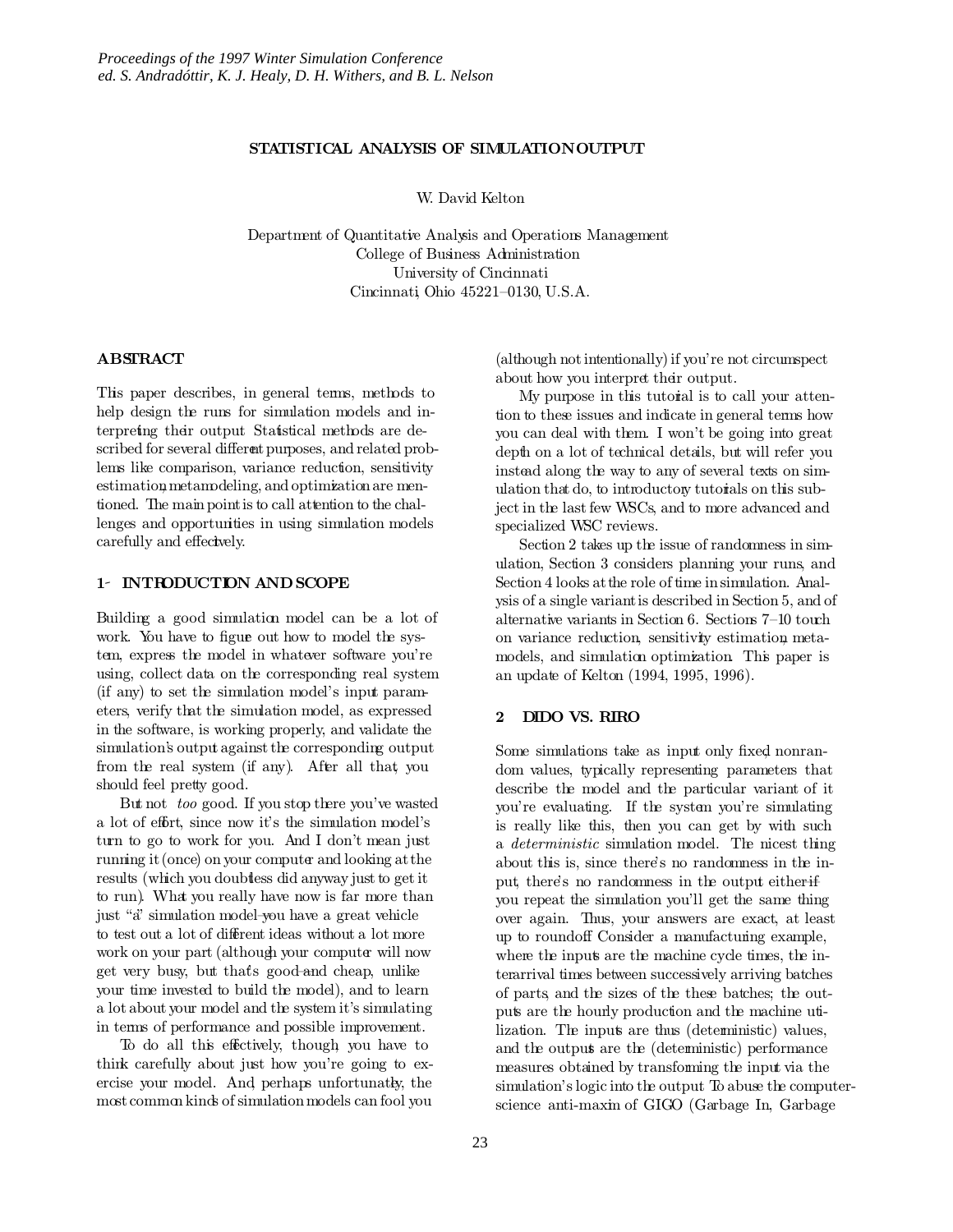#### STATISTICAL ANALYSIS OF SIMULATIONOUTPUT

W. David Kelton

Department of Quantitative Analysis and Operations Management College of Business Administration University of Cincinnati Cincinnati, Ohio 45221–0130, U.S.A.

## ABSTRACT

This paper describes, in general terms, methods to help design the runs for simulation models and interpreting their output. Statistical methods are described for several different purposes, and related problems like comparison, variance reduction, sensitivity estimation metamodeling, and optimization are mentioned. The main pointis to call attention to the challenges and opportunities in using simulation models carefully and effectively.

## 1- INTRODUCTION AND SCOPE

Building a good simulation model can be a lot of work. You have to figure out how to model the system, express the model in whatever software you're using, collect data on the corresponding real system (if any) to set the simulation model's input parameters, verify that the simulation model, as expressed in the software, is working properly, and validate the simulation's output against the corresponding output from the real system (if any). After all that, you should feel pretty good.

But not *too* good. If you stop there you've wasted a lot of effort, since now it's the simulation model's turn to go to work for you. And I don't mean just running it (once) on your computer and looking at the results (which you doubtless did anyway just to get it to run). What you really have now is far more than just "a" simulation model—you have a great vehicle to test out a lot of different ideas without a lot more work on your part (although your computer will now get very busy, but that's good—and cheap, unlike your time invested to build the model), and to learn a lot about your model and the system it's simulating in terms of performance and possible improvement.

To do all this effectively, though, you have to think carefully about just how you're going to exercise your model. And perhaps unfortunately, the most common kinds of simulation models can fool you

(although notintentionally)if you're not circumspect about how you interpret their output.

My purpose in this tutorial is to call your attention to these issues and indicate in general terms how you can deal with them. I won't be going into great depth on a lot of technical details, but will refer you instead along the way to any of several texts on simulation that do, to introductory tutorials on this subject in the last few WSCs, and to more advanced and specialized WSC reviews.

Section 2 takes up the issue of randomness in simulation, Section 3 considers planning your runs, and Section 4 looks at the role of time in simulation. Analysis of a single variantis described in Section 5, and of alternative variants in Section 6. Sections 7–10 touch on variance reduction, sensitivity estimation, metamodels, and simulation optimization. This paper is an update of Kelton (1994, 1995, 1996).

## 2 DIDO VS. RIRO

Some simulations take as input only fixed nonrandom values, typically representing parameters that describe the model and the particular variant of it you're evaluating. If the system you're simulating is really like this, then you can get by with such a deterministic simulation model. The nicest thing about this is, since there's no randomness in the input, there's no randomness in the output either if you repeat the simulation you'll get the same thing over again. Thus, your answers are exact, at least up to roundoff. Consider a manufacturing example, where the inputs are the machine cycle times, the interarrival times between successively arriving batches of parts, and the sizes of the these batches; the outputs are the hourly production and the machine utilization. The inputs are thus (deterministic) values, and the outputs are the (deterministic) performance measures obtained by transforming the input via the simulation's logic into the output. To abuse the computerscience anti-maxim of GIGO (Garbage In, Garbage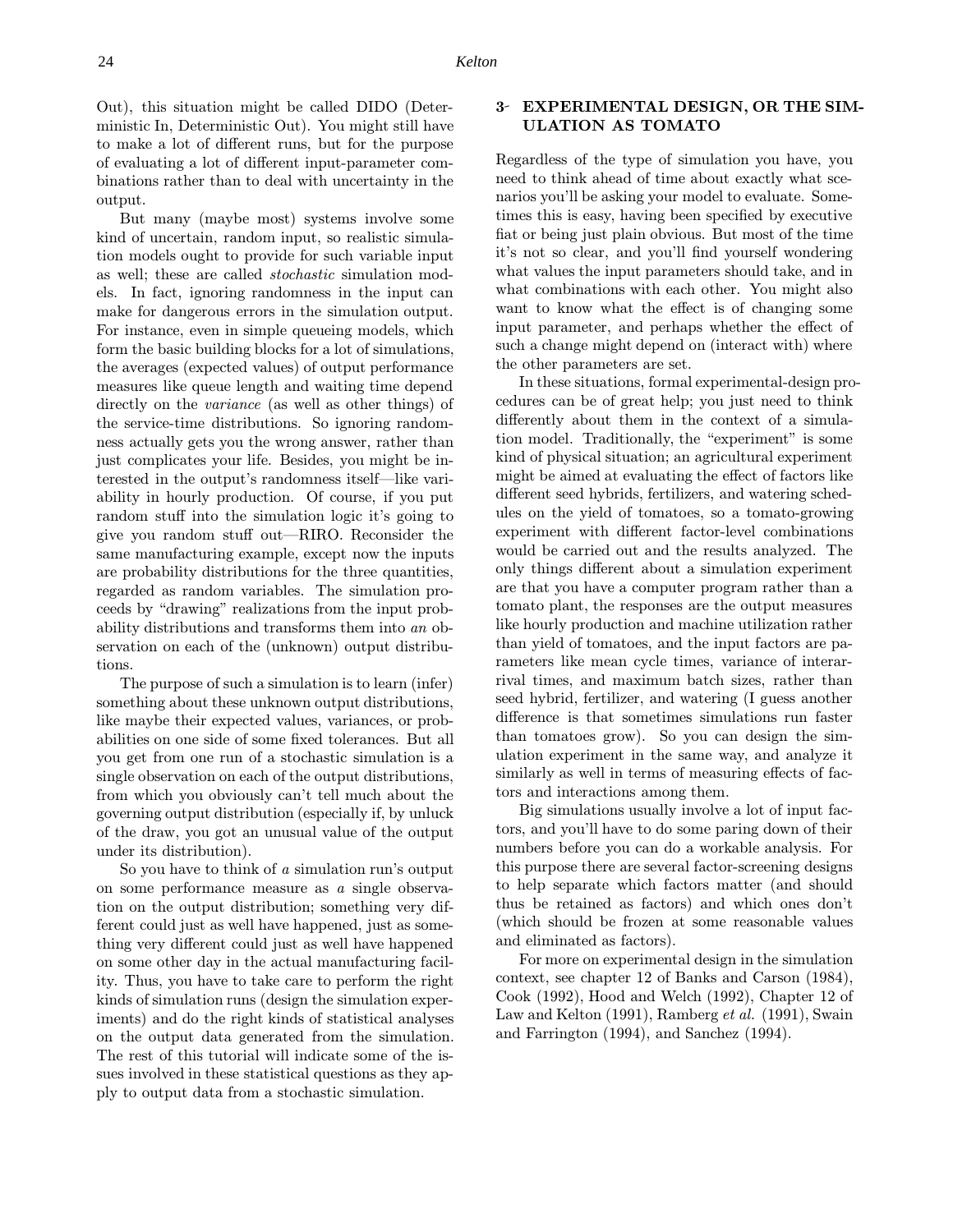Out), this situation might be called DIDO (Deterministic In, Deterministic Out). You might still have to make a lot of different runs, but for the purpose of evaluating a lot of different input-parameter combinations rather than to deal with uncertainty in the output.

But many (maybe most) systems involve some kind of uncertain, random input, so realistic simulation models ought to provide for such variable input as well; these are called stochastic simulation models. In fact, ignoring randomness in the input can make for dangerous errors in the simulation output. For instance, even in simple queueing models, which form the basic building blocks for a lot of simulations, the averages (expected values) of output performance measures like queue length and waiting time depend directly on the variance (as well as other things) of the service-time distributions. So ignoring randomness actually gets you the wrong answer, rather than just complicates your life. Besides, you might be interested in the output's randomness itself—like variability in hourly production. Of course, if you put random stuff into the simulation logic it's going to give you random stuff out—RIRO. Reconsider the same manufacturing example, except now the inputs are probability distributions for the three quantities, regarded as random variables. The simulation proceeds by "drawing" realizations from the input probability distributions and transforms them into an observation on each of the (unknown) output distributions.

The purpose of such a simulation is to learn (infer) something about these unknown output distributions, like maybe their expected values, variances, or probabilities on one side of some fixed tolerances. But all you get from one run of a stochastic simulation is a single observation on each of the output distributions, from which you obviously can't tell much about the governing output distribution (especially if, by unluck of the draw, you got an unusual value of the output under its distribution).

So you have to think of a simulation run's output on some performance measure as a single observation on the output distribution; something very different could just as well have happened, just as something very different could just as well have happened on some other day in the actual manufacturing facility. Thus, you have to take care to perform the right kinds of simulation runs (design the simulation experiments) and do the right kinds of statistical analyses on the output data generated from the simulation. The rest of this tutorial will indicate some of the issues involved in these statistical questions as they apply to output data from a stochastic simulation.

## 3- EXPERIMENTAL DESIGN, OR THE SIM-ULATION AS TOMATO

Regardless of the type of simulation you have, you need to think ahead of time about exactly what scenarios you'll be asking your model to evaluate. Sometimes this is easy, having been specified by executive fiat or being just plain obvious. But most of the time it's not so clear, and you'll find yourself wondering what values the input parameters should take, and in what combinations with each other. You might also want to know what the effect is of changing some input parameter, and perhaps whether the effect of such a change might depend on (interact with) where the other parameters are set.

In these situations, formal experimental-design procedures can be of great help; you just need to think differently about them in the context of a simulation model. Traditionally, the "experiment" is some kind of physical situation; an agricultural experiment might be aimed at evaluating the effect of factors like different seed hybrids, fertilizers, and watering schedules on the yield of tomatoes, so a tomato-growing experiment with different factor-level combinations would be carried out and the results analyzed. The only things different about a simulation experiment are that you have a computer program rather than a tomato plant, the responses are the output measures like hourly production and machine utilization rather than yield of tomatoes, and the input factors are parameters like mean cycle times, variance of interarrival times, and maximum batch sizes, rather than seed hybrid, fertilizer, and watering (I guess another difference is that sometimes simulations run faster than tomatoes grow). So you can design the simulation experiment in the same way, and analyze it similarly as well in terms of measuring effects of factors and interactions among them.

Big simulations usually involve a lot of input factors, and you'll have to do some paring down of their numbers before you can do a workable analysis. For this purpose there are several factor-screening designs to help separate which factors matter (and should thus be retained as factors) and which ones don't (which should be frozen at some reasonable values and eliminated as factors).

For more on experimental design in the simulation context, see chapter 12 of Banks and Carson (1984), Cook (1992), Hood and Welch (1992), Chapter 12 of Law and Kelton (1991), Ramberg et al. (1991), Swain and Farrington (1994), and Sanchez (1994).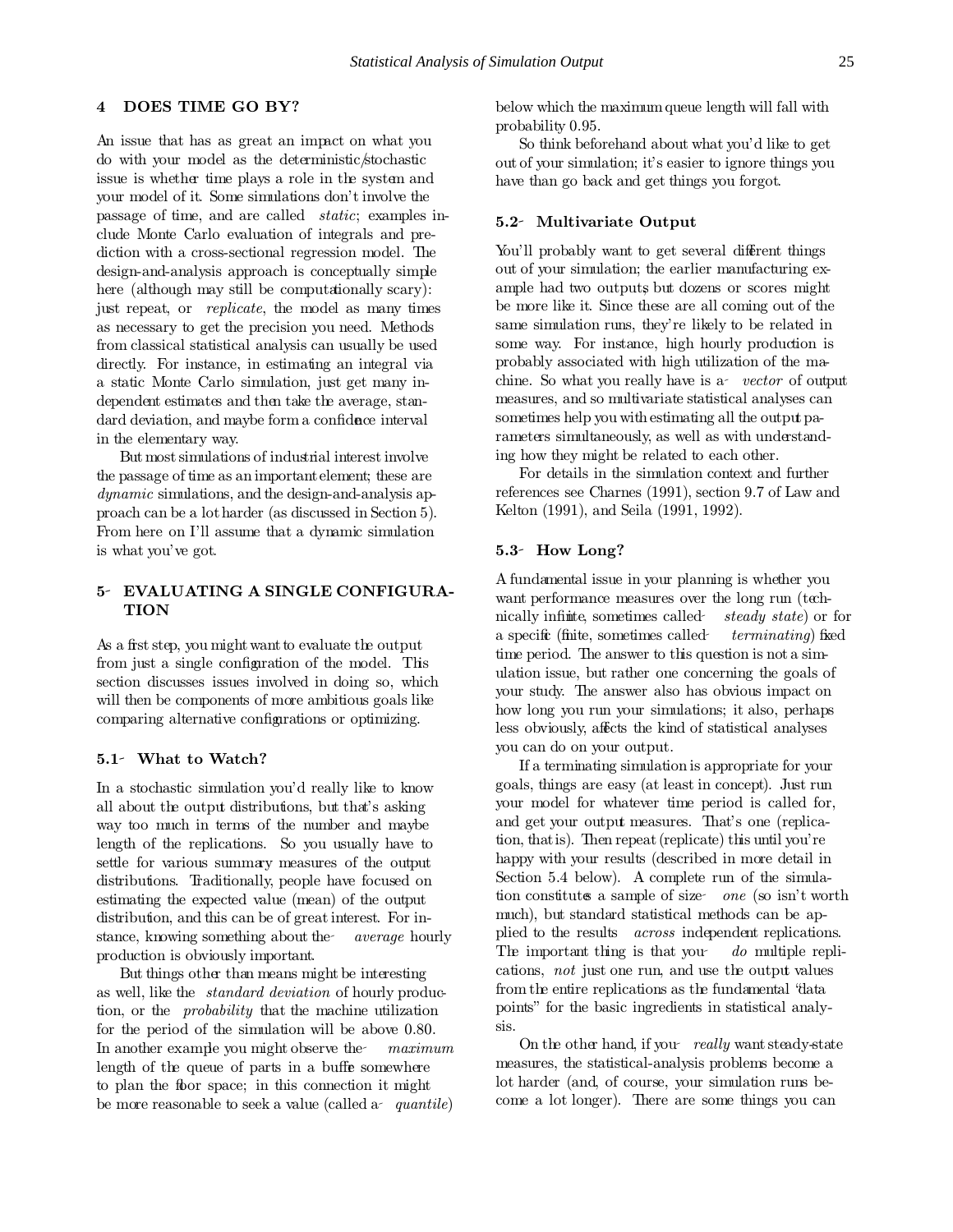## 4 DOES TIME GO BY?

An issue that has as great an impact on what you do with your model as the deterministic/stochastic issue is whether time plays a role in the system and your model of it. Some simulations don't involve the passage of time, and are called static; examples include Monte Carlo evaluation of integrals and prediction with a cross-sectional regression model. The design-and-analysis approach is conceptually simple here (although may still be computationally scary): just repeat, or replicate, the model as many times as necessary to get the precision you need. Methods from classical statistical analysis can usually be used directly. For instance, in estimating an integral via a static Monte Carlo simulation, just get many independent estimates and then take the average, standard deviation, and maybe form a confiduce interval in the elementary way.

But mostsimulations of industrial interestinvolve the passage of time as an important element; these are dynamic simulations, and the design-and-analysis approach can be a lotharder (as discussed in Section 5). From here on I'll assume that a dynamic simulation is what you've got.

## 5- EVALUATING A SINGLE CONFIGURA-TION

As a first step, you might want to evaluate the output from just a single configuration of the model. This section discusses issues involved in doing so, which will then be components of more ambitious goals like comparing alternative configurations or optimizing.

#### 5.1- What to Watch?

In a stochastic simulation you'd really like to know all about the output distributions, but that's asking way too much in terms of the number and maybe length of the replications. So you usually have to settle for various summary measures of the output distributions. Traditionally, people have focused on estimating the expected value (mean) of the output distribution, and this can be of greatinterest. For instance, knowing something about the *average* hourly production is obviously important.

But things other than means might be interesting as well, like the standard deviation of hourly production, or the probability that the machine utilization for the period of the simulation will be above 0.80. In another example you might observe the maximum length of the queue of parts in a buffe somewhere to plan the floor space; in this connection it might be more reasonable to seek a value (called a quantile) below which the maximumqueue length will fall with probability 0.95.

So think beforehand about what you'd like to get out of your simulation; it's easier to ignore things you have than go back and get things you forgot.

#### 5.2 Multivariate Output

You'll probably want to get several different things out of your simulation; the earlier manufacturing example had two outputs, but dozens or scores might be more like it. Since these are all coming out of the same simulation runs, they're likely to be related in some way. For instance, high hourly production is probably associated with high utilization of the machine. So what you really have is a vector of output measures, and so multivariate statistical analyses can sometimes help you with estimating all the output parameters simultaneously, as well as with understanding how they might be related to each other.

For details in the simulation context and further references see Charnes (1991), section 9.7 of Law and Kelton (1991), and Seila (1991, 1992).

#### 5.3 How Long?

A fundamental issue in your planning is whether you want performance measures over the long run (technically infinite, sometimes called steady state) or for a specific (finite, sometimes called  $terminating)$  fixed time period. The answer to this question is not a simulation issue, but rather one concerning the goals of your study. The answer also has obvious impact on how long you run your simulations; it also, perhaps less obviously, affects the kind of statistical analyses you can do on your output.

If a terminating simulation is appropriate for your goals, things are easy (at least in concept). Just run your model for whatever time period is called for, and get your output measures. That's one (replication, thatis). Then repeat(replicate) this until you're happy with your results (described in more detail in Section 5.4 below). A complete run of the simulation constitutes a sample of size one (so isn't worth much), but standard statistical methods can be applied to the results across independent replications. The important thing is that you do multiple replications, not just one run, and use the output values from the entire replications as the fundamental "data points" for the basic ingredients in statistical analysis.

On the other hand, if you really want steady-state measures, the statistical-analysis problems become a lot harder (and, of course, your simulation runs become a lot longer). There are some things you can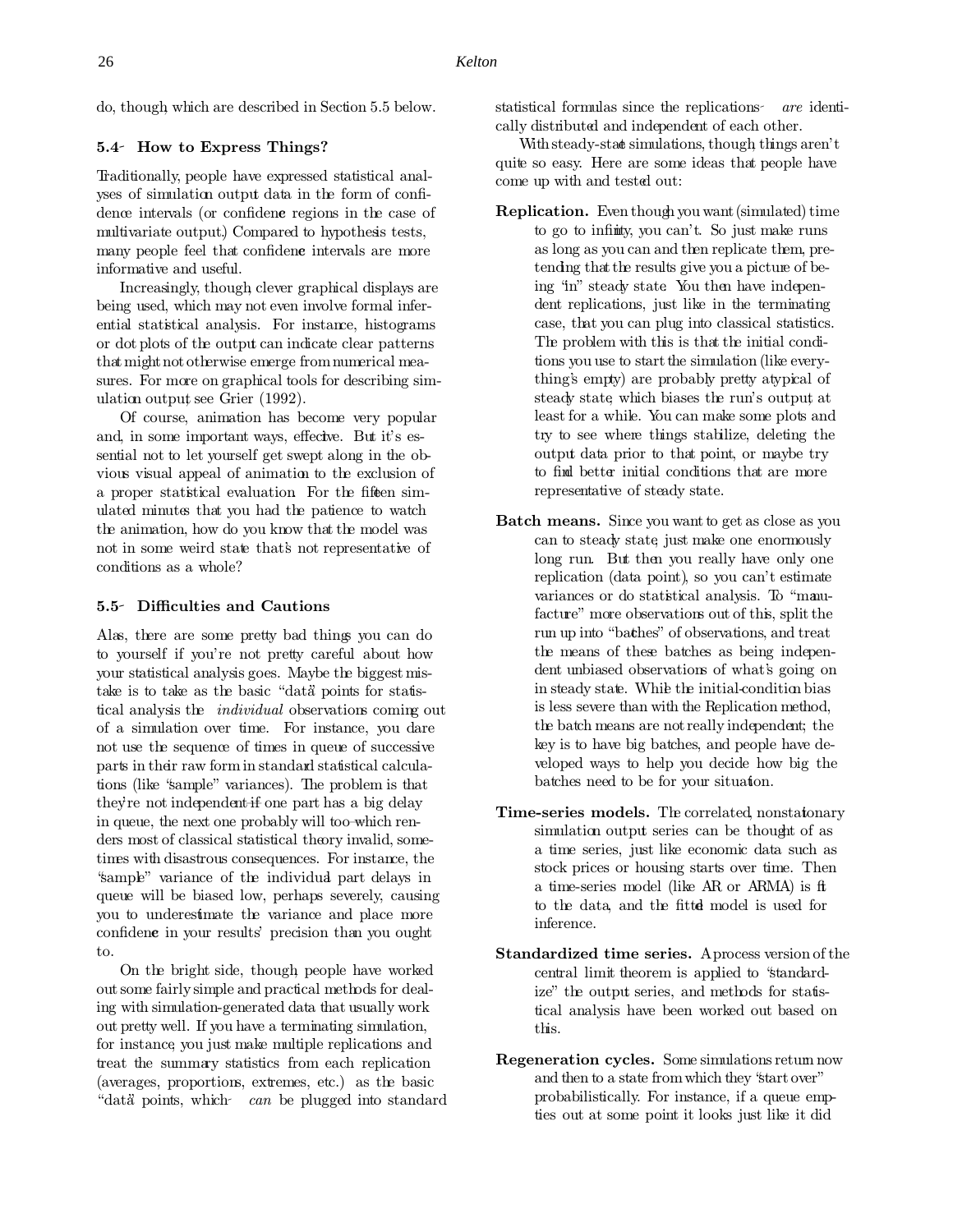do, though, which are described in Section 5.5 below.

#### 5.4 How to Express Things?

Traditionally, people have expressed statistical analyses of simulation output data in the form of confidence intervals (or confidence regions in the case of multivariate output). Compared to hypothesis tests, many people feel that confidence intervals are more informative and useful.

Increasingly, though, clever graphical displays are being used, which may not even involve formal inferential statistical analysis. For instance, histograms or dot plots of the output can indicate clear patterns that might not otherwise emerge from numerical measures. For more on graphical tools for describing simulation output, see Grier (1992).

Of course, animation has become very popular and, in some important ways, effective. But it's essential not to let yourself get swept along in the obvious visual appeal of animation to the exclusion of a proper statistical evaluation. For the fifteen simulated minutes that you had the patience to watch the animation, how do you know that the model was not in some weird state that's not representative of conditions as a whole?

## 5.5 Difficulties and Cautions

Alas, there are some pretty bad things you can do to yourself if you're not pretty careful about how your statistical analysis goes. Maybe the biggest mistake is to take as the basic "data" points for statistical analysis the individual observations coming out of a simulation over time. For instance, you dare not use the sequence of times in queue of successive parts in their raw formin standard statistical calculations (like "sample" variances). The problem is that they're not independent—if one part has a big delay in queue, the next one probably will too—which renders most of classical statistical theory invalid, sometimes with disastrous consequences. For instance, the "sample" variance of the individual part delays in queue will be biased low, perhaps severely, causing you to underestimate the variance and place more confidence in your results' precision than you ought to.

On the bright side, though, people have worked outsome fairlysimple and practical methods for dealing with simulation-generated data that usually work out pretty well. If you have a terminating simulation, for instance, you just make multiple replications and treat the summary statistics from each replication (averages, proportions, extremes, etc.) as the basic "data" points, which can be plugged into standard statistical formulas since the replications are identically distributed and independent of each other.

With steady-state simulations, though things aren't quite so easy. Here are some ideas that people have come up with and tested out:

- **Replication.** Even though you want (simulated) time to go to infinity, you can't. So just make runs as long as you can and then replicate them, pretending that the results give you a picture of being "in" steady state. You then have independent replications, just like in the terminating case, that you can plug into classical statistics. The problem with this is that the initial conditions you use to start the simulation (like everything's empty) are probably pretty atypical of steady state, which biases the run's output, at least for a while. You can make some plots and try to see where things stabilize, deleting the output data prior to that point, or maybe try to find better initial conditions that are more representative of steady state.
- Batch means. Since you want to get as close as you can to steady state, just make one enormously long run. But then you really have only one replication (data point), so you can't estimate variances or do statistical analysis. To "manufacture" more observations out of this, split the run up into "batches" of observations, and treat the means of these batches as being independent unbiased observations of what's going on in steady state. While the initial-condition bias is less severe than with the Replication method, the batch means are notreally independent; the key is to have big batches, and people have developed ways to help you decide how big the batches need to be for your situation.
- Time-series models. The correlated, nonstationary simulation output series can be thought of as a time series, just like economic data such as stock prices or housing starts over time. Then a time-series model (like AR or ARMA) is fit to the data, and the fitted model is used for inference.
- Standardized time series. Aprocess version of the central limit theorem is applied to "standardize" the output series, and methods for statistical analysis have been worked out based on this.
- Regeneration cycles. Some simulations return now and then to a state fromwhich they "start over" probabilistically. For instance, if a queue empties out at some point it looks just like it did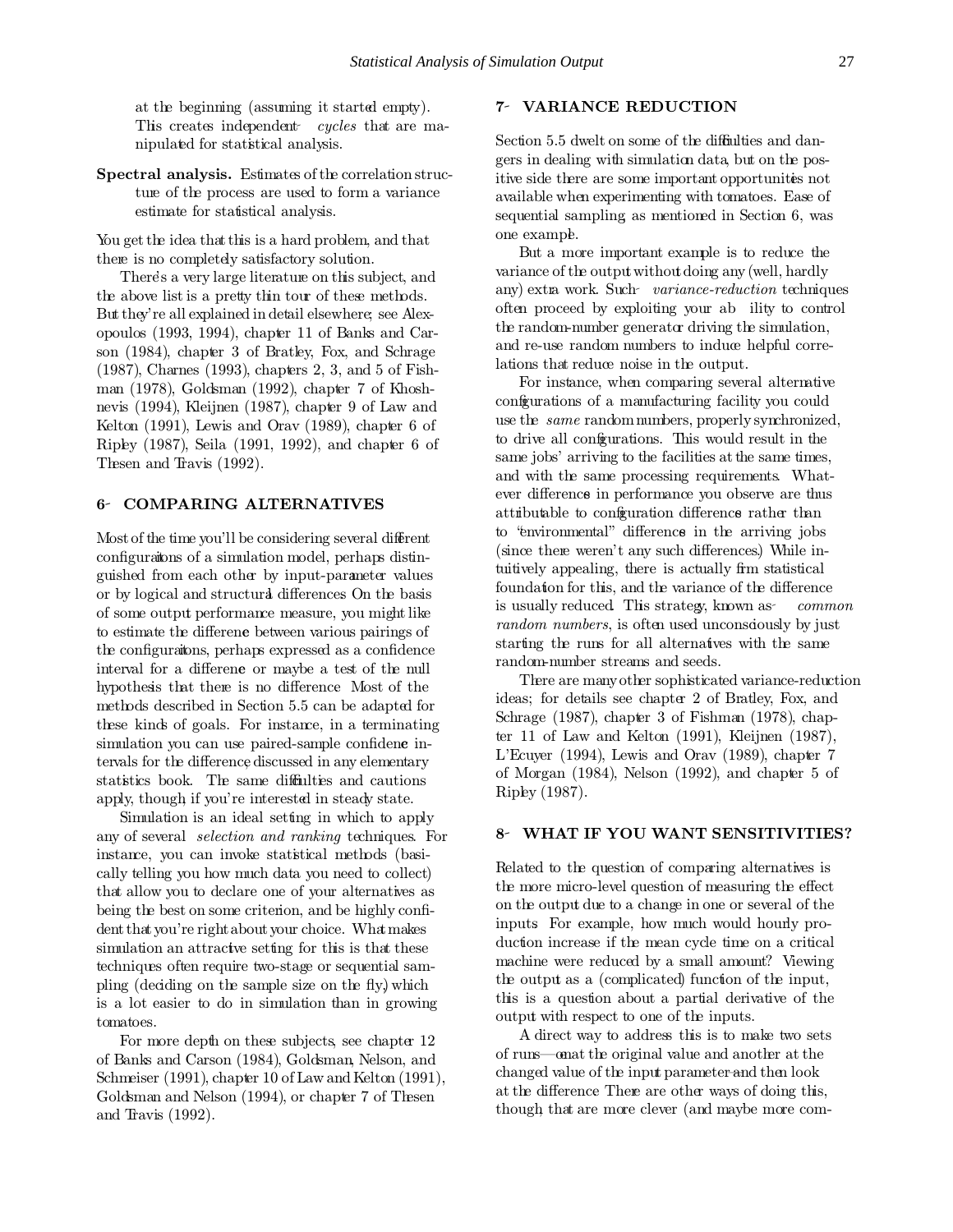at the beginning (assuming it started empty). This creates independent *cycles* that are manipulated for statistical analysis.

Spectral analysis. Estimates of the correlation structure of the process are used to form a variance estimate for statistical analysis.

You get the idea that this is a hard problem, and that there is no completely satisfactory solution.

There's a very large literature on this subject, and the above list is a pretty thin tour of these methods. But they're all explained in detail elsewhere; see Alexopoulos (1993, 1994), chapter 11 of Banks and Carson (1984), chapter 3 of Bratley, Fox, and Schrage (1987), Charnes (1993), chapters 2, 3, and 5 of Fishman (1978), Goldsman (1992), chapter 7 of Khoshnevis (1994), Kleijnen (1987), chapter 9 of Law and Kelton (1991), Lewis and Orav (1989), chapter 6 of Ripley (1987), Seila (1991, 1992), and chapter 6 of Thesen and Travis (1992).

### 6- COMPARING ALTERNATIVES

Most of the time you'll be considering several different configurations of a simulation model, perhaps distinguished from each other by input-parameter values or by logical and structural differences. On the basis of some output performance measure, you mightlike to estimate the difference between various pairings of the configurations, perhaps expressed as a confidence interval for a difference or maybe a test of the null hypothesis that there is no difference. Most of the methods described in Section 5.5 can be adapted for these kinds of goals. For instance, in a terminating simulation you can use paired-sample confidence intervals for the difference discussed in any elementary statistics book. The same difficulties and cautions apply, though, if you're interested in steady state.

Simulation is an ideal setting in which to apply any of several selection and ranking techniques. For instance, you can invoke statistical methods (basically telling you how much data you need to collect) that allow you to declare one of your alternatives as being the best on some criterion, and be highly confident that you're right about your choice. What makes simulation an attractive setting for this is that these techniques often require two-stage or sequential sampling (deciding on the sample size on the fly), which is a lot easier to do in simulation than in growing tomatoes.

For more depth on these subjects, see chapter 12 of Banks and Carson (1984), Goldsman, Nelson, and Schmeiser (1991), chapter 10 of Law and Kelton (1991), Goldsman and Nelson (1994), or chapter 7 of Thesen and Travis (1992).

## 7- VARIANCE REDUCTION

Section 5.5 dwelt on some of the difficulties and dangers in dealing with simulation data, but on the positive side there are some important opportunities not available when experimenting with tomatoes. Ease of sequential sampling, as mentioned in Section 6, was one example.

But a more important example is to reduce the variance of the output without doing any (well, hardly any) extra work. Such variance-reduction techniques often proceed by exploiting your ab ility to control the random-number generator driving the simulation, and re-use random numbers to induce helpful correlations that reduce noise in the output.

For instance, when comparing several alternative configurations of a manufacturing facility you could use the same randomnumbers, properly synchronized, to drive all configurations. This would result in the same jobs' arriving to the facilities at the same times, and with the same processing requirements. Whatever differences in performance you observe are thus attributable to configuration difference rather than to "environmental" differences in the arriving jobs (since there weren't any such differences). While intuitively appealing, there is actually firm statistical foundation for this, and the variance of the difference is usually reduced. This strategy, known as common random numbers, is often used unconsoiusly by just starting the runs for all alternatives with the same random-number streams and seeds.

There are manyother sophisticated variance-reduction ideas; for details see chapter 2 of Bratley, Fox, and Schrage (1987), chapter 3 of Fishman (1978), chapter 11 of Law and Kelton (1991), Kleijnen (1987), L'Ecuver (1994), Lewis and Orav (1989), chapter  $7$ of Morgan (1984), Nelson (1992), and chapter 5 of Ripley (1987).

#### 8- WHAT IF YOU WANT SENSITIVITIES?

Related to the question of comparing alternatives is the more micro-level question of measuring the effect on the output due to a change in one or several of the inputs. For example, how much would hourly production increase if the mean cycle time on a critical machine were reduced by a small amount? Viewing the output as a (complicated) function of the input, this is a question about a partial derivative of the output with respect to one of the inputs.

A direct way to address this is to make two sets of runs—one at the original value and another at the changed value of the input parameter—and then look at the difference. There are other ways of doing this, though, that are more clever (and maybe more com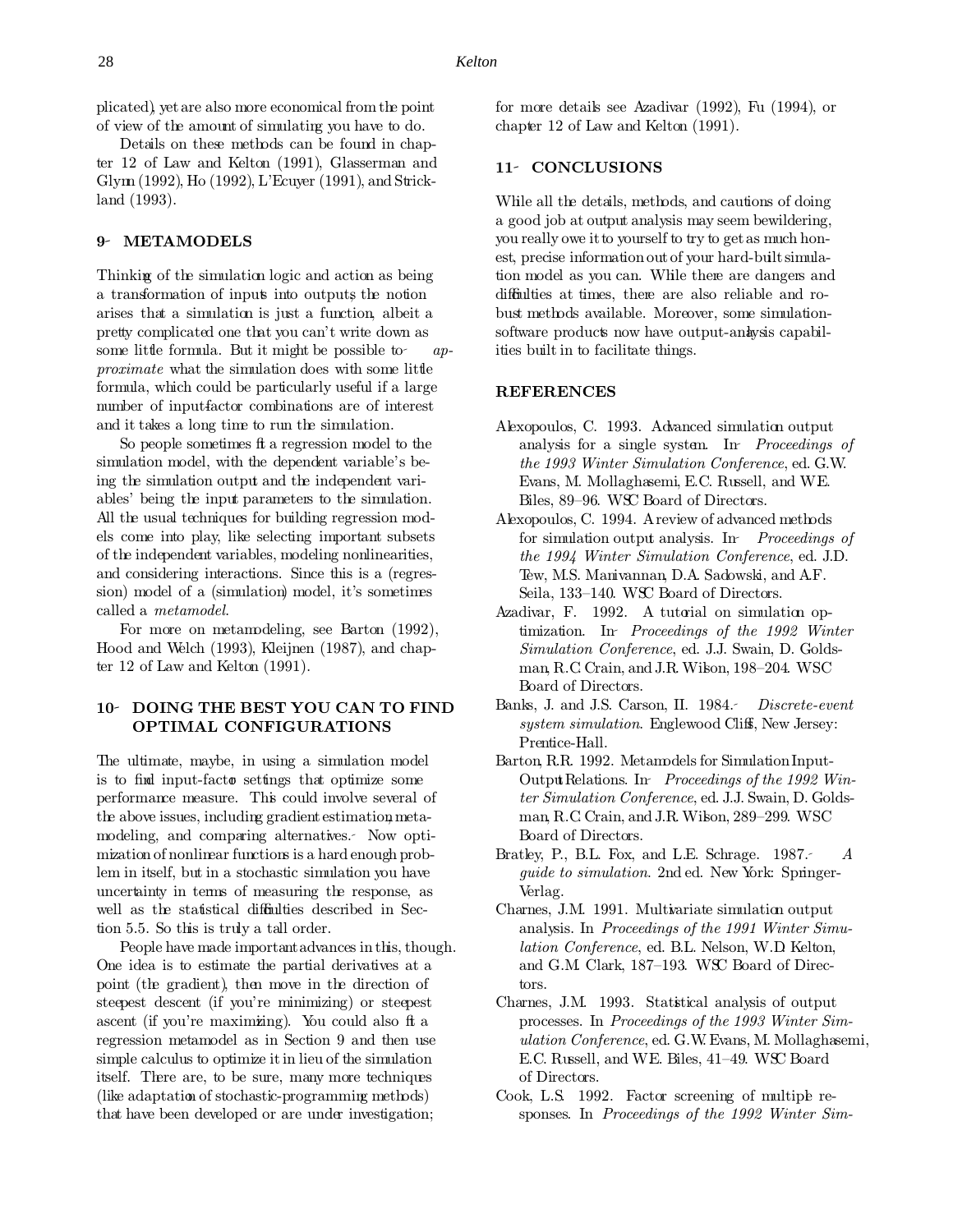plicated), yetare also more economical fromthe point of view of the amount of simulating you have to do.

Details on these methods can be found in chapter 12 of Law and Kelton (1991), Glasserman and Glynn (1992), Ho (1992), L'Ecuyer (1991), and Strickland (1993).

### 9- METAMODELS

Thinking of the simulation logic and action as being a transformation of inputs into outputs the notion arises that a simulation is just a function, albeit a pretty complicated one that you can't write down as some little formula. But it might be possible to  $ap$ proximate what the simulation does with some little formula, which could be particularly useful if a large number of input-factor combinations are of interest and it takes a long time to run the simulation.

So people sometimes fit a regression model to the simulation model, with the dependent variable's being the simulation output and the independent variables' being the input parameters to the simulation. All the usual techniques for building regression models come into play, like selecting important subsets of the independent variables, modeling nonlinearities, and considering interactions. Since this is a (regression) model of a (simulation) model, it's sometimes called a metamodel.

For more on metamodeling, see Barton (1992), Hood and Welch (1993), Kleijnen (1987), and chapter 12 of Law and Kelton (1991).

# 10 DOING THE BEST YOU CAN TO FIND OPTIMAL CONFIGURATIONS

The ultimate, maybe, in using a simulation model is to find input-factor settings that optimize some performance measure. This could involve several of the above issues, including gradient estimation, metamodeling, and comparing alternatives. Now optimization of nonlinear functions is a hard enough problem in itself, but in a stochastic simulation you have uncertainty in terms of measuring the response, as well as the statistical difficulties described in Section 5.5. So this is truly a tall order.

People have made importantadvances in this, though. One idea is to estimate the partial derivatives at a point (the gradient), then move in the direction of steepest descent (if you're minimizing) or steepest ascent (if you're maximizing). You could also ft a regression metamodel as in Section 9 and then use simple calculus to optimize itin lieu of the simulation itself. There are, to be sure, many more techniques (like adaptation of stochastic-programming methods) that have been developed or are under investigation;

for more details see Azadivar (1992), Fu (1994), or chapter 12 of Law and Kelton (1991).

#### 11- CONCLUSIONS

While all the details, methods, and cautions of doing a good job at output analysis may seem bewildering, you really owe itto yourself to try to getas much honest, precise information out of your hard-built simulation model as you can. While there are dangers and diffulties at times, there are also reliable and robust methods available. Moreover, some simulationsoftware products now have output-analysis capabilities built in to facilitate things.

#### REFERENCES

- Alexopoulos, C. 1993. Advanced simulation output analysis for a single system. In Proceedings of the 1993 Winter Simulation Conference, ed. G.W. Evans, M. Mollaghasemi, E.C. Russell, and W.E. Biles, 89–96. WSC Board of Directors.
- Alexopoulos, C. 1994. Areview of advanced methods for simulation output analysis. In Proceedings of the 1994 Winter Simulation Conference, ed. J.D. Tew, M.S. Manivannan, D.A. Sadowski, and A.F. Seila, 133–140. WSC Board of Directors.
- Azadivar, F. 1992. A tutorial on simulation optimization. In Proceedings of the 1992 Winter Simulation Conference, ed. J.J. Swain, D. Goldsman, R.C. Crain, and J.R. Wilson, 198–204. WSC Board of Directors.
- Banks, J. and J.S. Carson, II. 1984. Discrete-event system simulation. Englewood Cliffs, New Jersey: Prentice-Hall.
- Barton, R.R. 1992. Metamodels for Simulation Input-OutputRelations. In Proceedings of the 1992 Winter Simulation Conference, ed. J.J. Swain, D. Goldsman, R.C. Crain, and J.R. Wilson, 289–299. WSC Board of Directors.
- Bratley, P., B.L. Fox, and L.E. Schrage. 1987. A guide to simulation. 2nd ed. New York: Springer-Verlag.
- Charnes, J.M. 1991. Multivariate simulation output analysis. In Proceedings of the 1991 Winter Simulation Conference, ed. B.L. Nelson, W.D. Kelton, and G.M. Clark, 187–193. WSC Board of Directors.
- Charnes, J.M. 1993. Statistical analysis of output processes. In Proceedings of the 1993 Winter Simulation Conference, ed. G.W. Evans, M. Mollaghasemi, E.C. Russell, and W.E. Biles, 41–49. WSC Board of Directors.
- Cook, L.S. 1992. Factor screening of multiple responses. In Proceedings of the 1992 Winter Sim-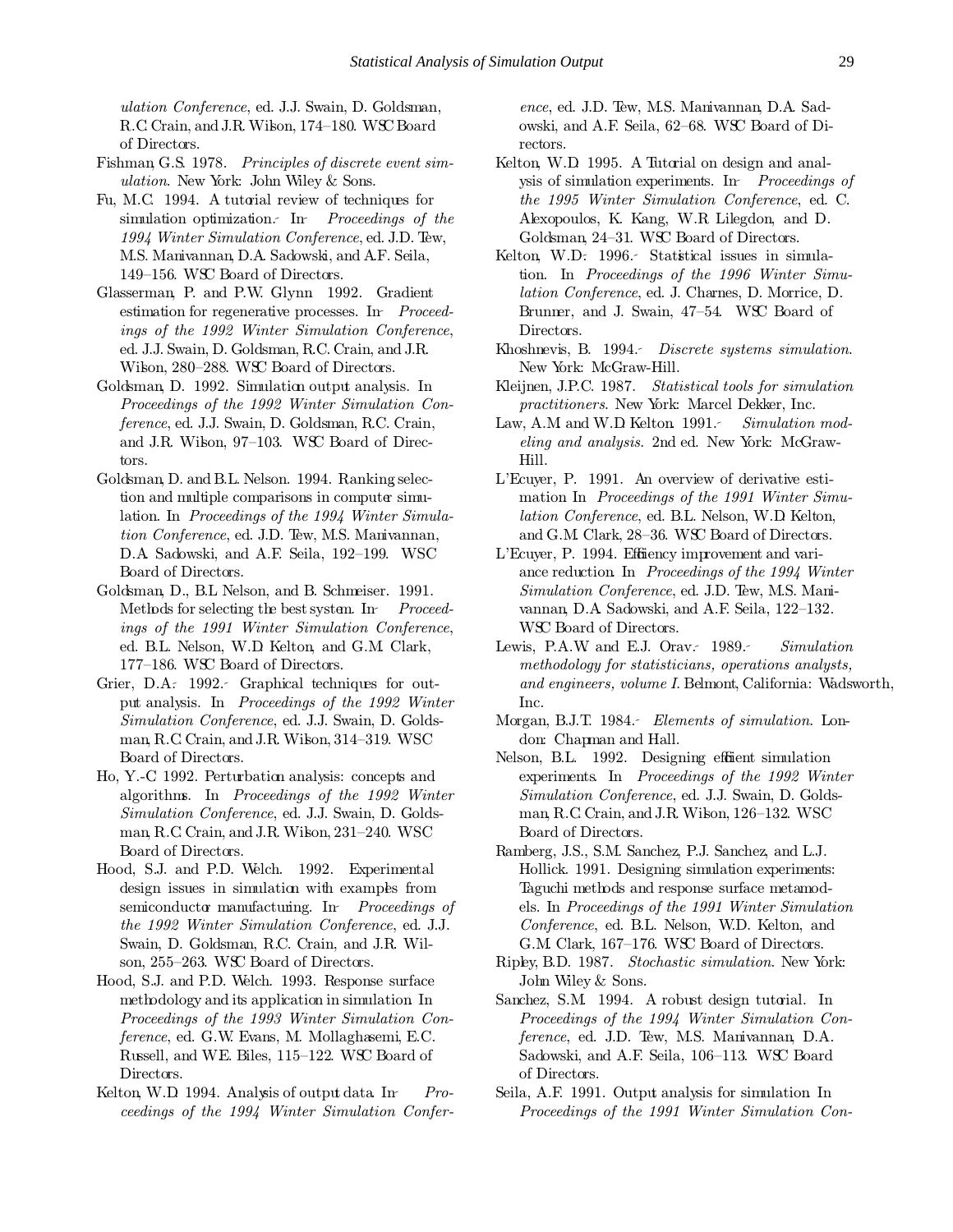ulation Conference, ed. J.J. Swain, D. Goldsman, R.C. Crain, and J.R. Wilson, 174–180. WSC Board of Directors.

- Fishman, G.S. 1978. Principles of discrete event simulation. New York: John Wiley & Sons.
- Fu, M.C. 1994. A tutorial review of techniques for simulation optimization. In Proceedings of the 1994 Winter Simulation Conference, ed. J.D. Tew, M.S. Manivannan, D.A. Sadowski, and A.F. Seila, 149–156. WSC Board of Directors.
- Glasserman, P. and P.W. Glynn. 1992. Gradient estimation for regenerative processes. In *Proceed*ings of the 1992 Winter Simulation Conference, ed. J.J. Swain, D. Goldsman, R.C. Crain, and J.R. Wilson, 280-288. WSC Board of Directors.
- Goldsman, D. 1992. Simulation output analysis. In Proceedings of the 1992 Winter Simulation Conference, ed. J.J. Swain, D. Goldsman, R.C. Crain, and J.R. Wilson, 97-103. WSC Board of Directors.
- Goldsman, D. and B.L. Nelson. 1994. Ranking, selection and multiple comparisons in computer simulation. In Proceedings of the 1994 Winter Simulation Conference, ed. J.D. Tew, M.S. Manivannan, D.A. Sadowski, and A.F. Seila, 192–199. WSC Board of Directors.
- Goldsman, D., B.L Nelson, and B. Schmeiser. 1991. Methods for selecting the best system. In Proceedings of the 1991 Winter Simulation Conference, ed. B.L. Nelson, W.D. Kelton, and G.M. Clark, 177–186. WSC Board of Directors.
- Grier, D.A. 1992. Graphical techniques for output analysis. In Proceedings of the 1992 Winter Simulation Conference, ed. J.J. Swain, D. Goldsman, R.C. Crain, and J.R. Wilson, 314–319. WSC Board of Directors.
- Ho, Y.-C. 1992. Perturbation analysis: concepts and algorithms. In Proceedings of the 1992 Winter Simulation Conference, ed. J.J. Swain, D. Goldsman, R.C. Crain, and J.R. Wilson, 231–240. WSC Board of Directors.
- Hood, S.J. and P.D. Welch. 1992. Experimental design issues in simulation with examples from semiconductor manufacturing. In Proceedings of the 1992 Winter Simulation Conference, ed. J.J. Swain, D. Goldsman, R.C. Crain, and J.R. Wilson, 255–263. WSC Board of Directors.
- Hood, S.J. and P.D. Welch. 1993. Response surface methodology and its application in simulation. In Proceedings of the 1993 Winter Simulation Conference, ed. G.W. Evans, M. Mollaghasemi, E.C. Russell, and W.E. Biles, 115–122. W.S. Board of Directors.
- Kelton, W.D. 1994. Analysis of output data. In  $Pro$ ceedings of the 1994 Winter Simulation Confer-

ence, ed. J.D. Tew, M.S. Manivannan, D.A. Sadowski, and A.F. Seila, 62–68. WSC Board of Directors.

- Kelton, W.D. 1995. A Tutorial on design and analysis of simulation experiments. In Proceedings of the 1995 Winter Simulation Conference, ed. C. Alexopoulos, K. Kang, W.R. Lilegdon, and D. Goldsman, 24–31. WSC Board of Directors.
- Kelton, W.D. 1996. Statistical issues in simulation. In Proceedings of the 1996 Winter Simulation Conference, ed. J. Charnes, D. Morrice, D. Brunner, and J. Swain, 47–54. WSC Board of Directors.
- Khoshnevis, B. 1994. Discrete systems simulation. New York: McGraw-Hill.
- Kleijnen, J.P.C. 1987. Statistical tools for simulation practitioners. New York: Marcel Dekker, Inc.
- Law, A.M. and W.D. Kelton. 1991. Simulation modeling and analysis. 2nd ed. New York: McGraw-Hill.
- L'Ecuyer, P. 1991. An overview of derivative estimation In Proceedings of the 1991 Winter Simulation Conference, ed. B.L. Nelson, W.D. Kelton, and G.M. Clark, 28–36. WSC Board of Directors.
- L'Ecuyer, P. 1994. Efficency improvement and variance reduction. In Proceedings of the 1994 Winter Simulation Conference, ed. J.D. Tew, M.S. Manivannan, D.A. Sadowski, and A.F. Seila, 122–132. WSC Board of Directors.
- Lewis, P.A.W and E.J. Orav. 1989. Simulation methodology for statisticians, operations analysts, and engineers, volume I. Belmont, California: Wadsworth, Inc.
- Morgan, B.J.T. 1984. Elements of simulation. London: Chapman and Hall.
- Nelson, B.L. 1992. Designing efficient simulation experiments. In Proceedings of the 1992 Winter Simulation Conference, ed. J.J. Swain, D. Goldsman, R.C. Crain, and J.R. Wilson, 126–132. WSC Board of Directors.
- Ramberg, J.S., S.M. Sanchez, P.J. Sanchez, and L.J. Hollick. 1991. Designing simulation experiments: Taguchi methods and response surface metamodels. In Proceedings of the 1991 Winter Simulation Conference, ed. B.L. Nelson, W.D. Kelton, and G.M. Clark, 167–176. WSC Board of Directors.
- Ripley, B.D. 1987. Stochastic simulation. New York: John Wiley & Sons.
- Sanchez, S.M. 1994. A robust design tutorial. In Proceedings of the 1994 Winter Simulation Conference, ed. J.D. Tew, M.S. Manivannan, D.A. Sadowski, and A.F. Seila, 106–113. WSC Board of Directors.
- Seila, A.F. 1991. Output analysis for simulation. In Proceedings of the 1991 Winter Simulation Con-